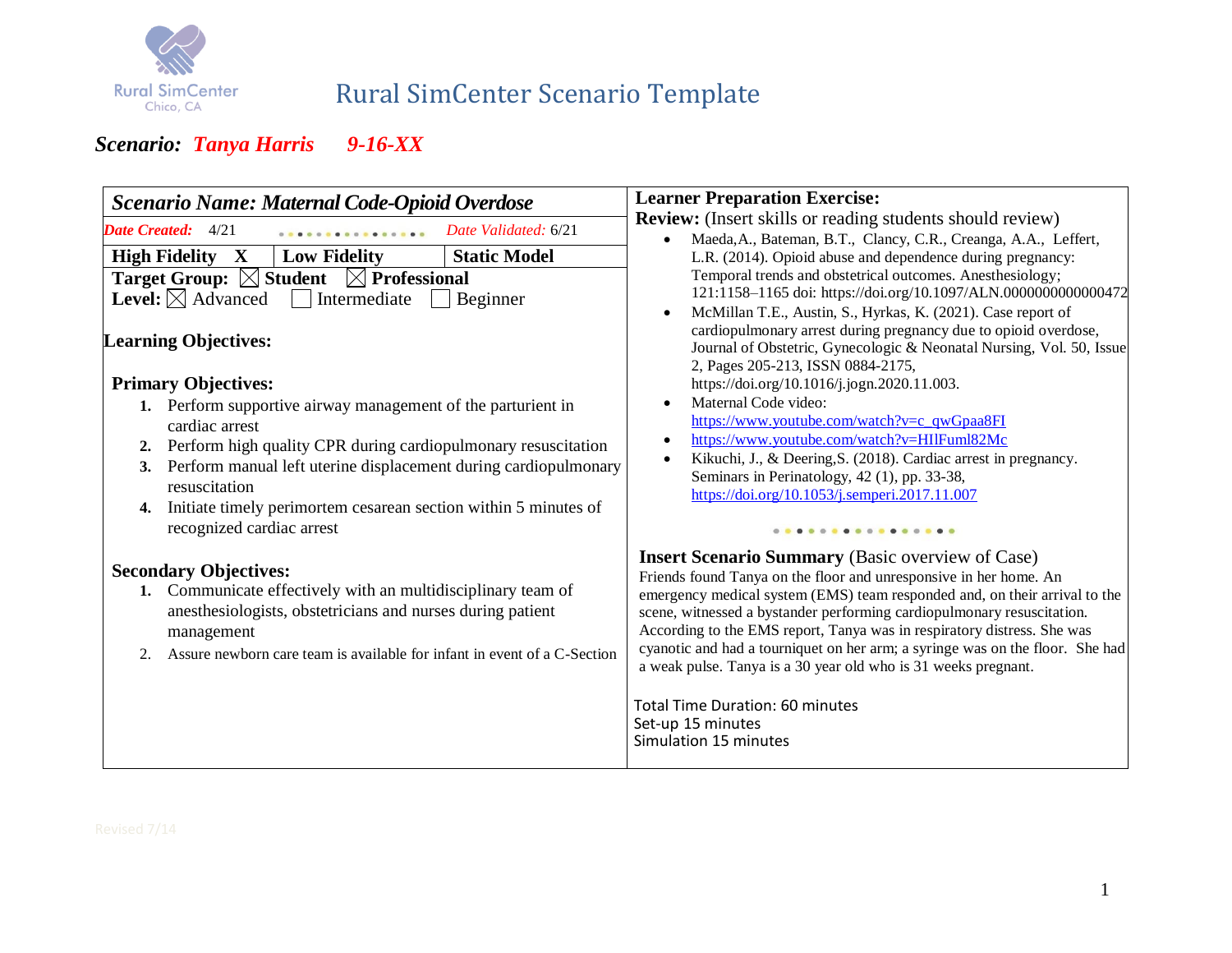

# Rural SimCenter Scenario Template

| Scenario Name: Maternal Code-Opioid Overdose                                                                                                                                                                                                                                                                                                       | <b>Learner Preparation Exercise:</b>                                                                                                                                                                                                                                                                                                                                                                                                                                                                               |  |  |
|----------------------------------------------------------------------------------------------------------------------------------------------------------------------------------------------------------------------------------------------------------------------------------------------------------------------------------------------------|--------------------------------------------------------------------------------------------------------------------------------------------------------------------------------------------------------------------------------------------------------------------------------------------------------------------------------------------------------------------------------------------------------------------------------------------------------------------------------------------------------------------|--|--|
| <b>Date Created:</b> 4/21<br>Date Validated: 6/21                                                                                                                                                                                                                                                                                                  | <b>Review:</b> (Insert skills or reading students should review)<br>Maeda, A., Bateman, B.T., Clancy, C.R., Creanga, A.A., Leffert,                                                                                                                                                                                                                                                                                                                                                                                |  |  |
| <b>Low Fidelity</b><br><b>Static Model</b><br><b>High Fidelity X</b><br><b>Target Group: <math>\boxtimes</math> Student</b><br>$\boxtimes$ Professional<br><b>Level:</b> $\boxtimes$ Advanced<br>Intermediate<br>Beginner                                                                                                                          | L.R. (2014). Opioid abuse and dependence during pregnancy:<br>Temporal trends and obstetrical outcomes. Anesthesiology;<br>121:1158-1165 doi: https://doi.org/10.1097/ALN.0000000000000472<br>McMillan T.E., Austin, S., Hyrkas, K. (2021). Case report of                                                                                                                                                                                                                                                         |  |  |
| <b>Learning Objectives:</b><br><b>Primary Objectives:</b>                                                                                                                                                                                                                                                                                          | cardiopulmonary arrest during pregnancy due to opioid overdose,<br>Journal of Obstetric, Gynecologic & Neonatal Nursing, Vol. 50, Issue<br>2, Pages 205-213, ISSN 0884-2175,<br>https://doi.org/10.1016/j.jogn.2020.11.003.                                                                                                                                                                                                                                                                                        |  |  |
| 1. Perform supportive airway management of the parturient in<br>cardiac arrest<br>Perform high quality CPR during cardiopulmonary resuscitation<br>2.<br>3. Perform manual left uterine displacement during cardiopulmonary<br>resuscitation<br>Initiate timely perimortem cesarean section within 5 minutes of<br>4.<br>recognized cardiac arrest | Maternal Code video:<br>https://www.youtube.com/watch?v=c_qwGpaa8FI<br>https://www.youtube.com/watch?v=HIIFuml82Mc<br>Kikuchi, J., & Deering, S. (2018). Cardiac arrest in pregnancy.<br>Seminars in Perinatology, 42 (1), pp. 33-38,<br>https://doi.org/10.1053/j.semperi.2017.11.007<br>                                                                                                                                                                                                                         |  |  |
| <b>Secondary Objectives:</b><br>1. Communicate effectively with an multidisciplinary team of<br>anesthesiologists, obstetricians and nurses during patient<br>management<br>Assure newborn care team is available for infant in event of a C-Section<br>2.                                                                                         | <b>Insert Scenario Summary</b> (Basic overview of Case)<br>Friends found Tanya on the floor and unresponsive in her home. An<br>emergency medical system (EMS) team responded and, on their arrival to the<br>scene, witnessed a bystander performing cardiopulmonary resuscitation.<br>According to the EMS report, Tanya was in respiratory distress. She was<br>cyanotic and had a tourniquet on her arm; a syringe was on the floor. She had<br>a weak pulse. Tanya is a 30 year old who is 31 weeks pregnant. |  |  |
|                                                                                                                                                                                                                                                                                                                                                    | <b>Total Time Duration: 60 minutes</b><br>Set-up 15 minutes<br>Simulation 15 minutes                                                                                                                                                                                                                                                                                                                                                                                                                               |  |  |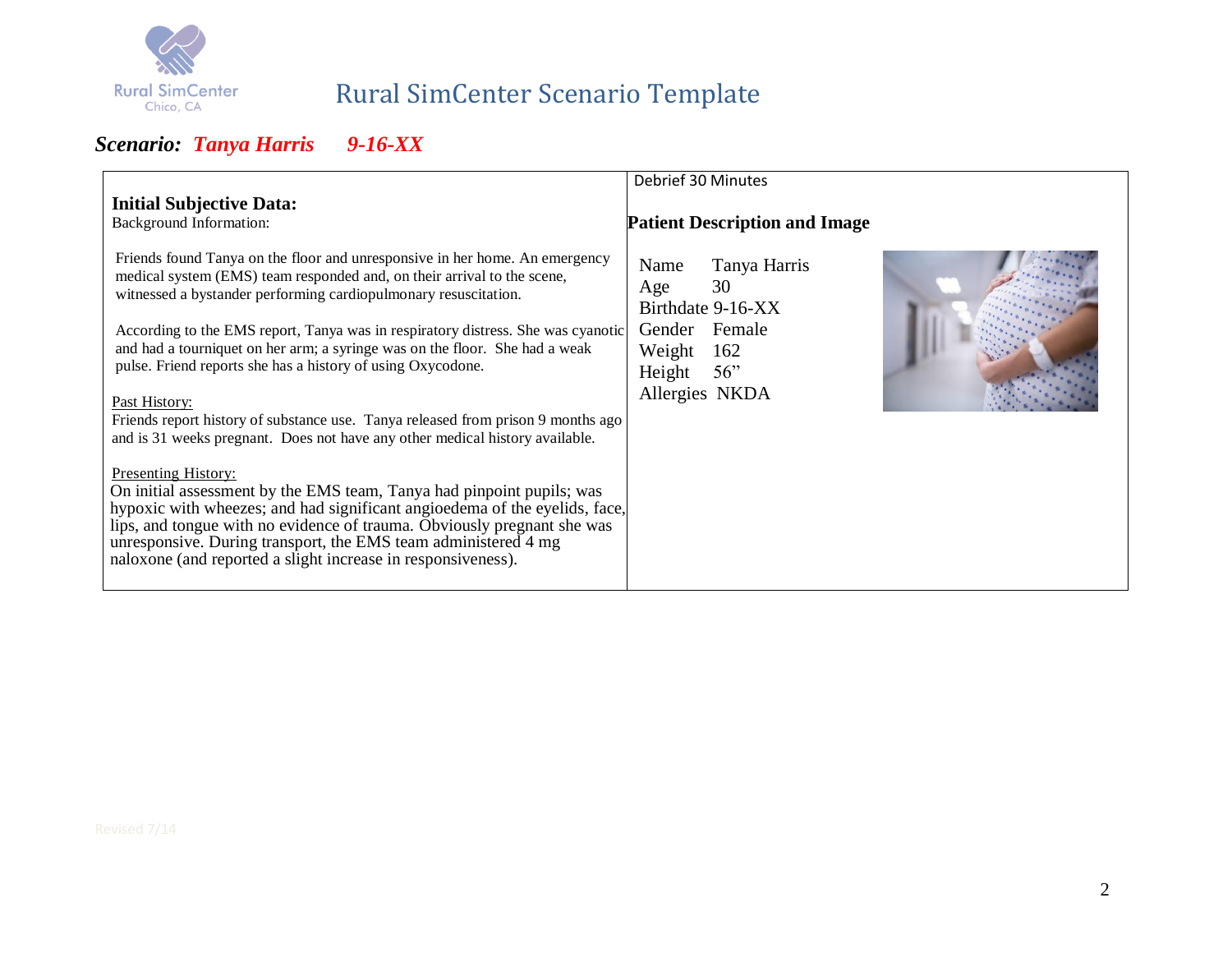

# Rural SimCenter Scenario Template

|                                                                                                                                                                                                                                                                                                                                                                                                                                                                                                                                                                                                                                                                                                                                                                                                                                                                                                                                                                                                                                                    | Debrief 30 Minutes                                                                                                          |
|----------------------------------------------------------------------------------------------------------------------------------------------------------------------------------------------------------------------------------------------------------------------------------------------------------------------------------------------------------------------------------------------------------------------------------------------------------------------------------------------------------------------------------------------------------------------------------------------------------------------------------------------------------------------------------------------------------------------------------------------------------------------------------------------------------------------------------------------------------------------------------------------------------------------------------------------------------------------------------------------------------------------------------------------------|-----------------------------------------------------------------------------------------------------------------------------|
| <b>Initial Subjective Data:</b><br>Background Information:                                                                                                                                                                                                                                                                                                                                                                                                                                                                                                                                                                                                                                                                                                                                                                                                                                                                                                                                                                                         | <b>Patient Description and Image</b>                                                                                        |
| Friends found Tanya on the floor and unresponsive in her home. An emergency<br>medical system (EMS) team responded and, on their arrival to the scene,<br>witnessed a bystander performing cardiopulmonary resuscitation.<br>According to the EMS report, Tanya was in respiratory distress. She was cyanotic<br>and had a tourniquet on her arm; a syringe was on the floor. She had a weak<br>pulse. Friend reports she has a history of using Oxycodone.<br>Past History:<br>Friends report history of substance use. Tanya released from prison 9 months ago<br>and is 31 weeks pregnant. Does not have any other medical history available.<br><b>Presenting History:</b><br>On initial assessment by the EMS team, Tanya had pinpoint pupils; was<br>hypoxic with wheezes; and had significant angioedema of the eyelids, face,<br>lips, and tongue with no evidence of trauma. Obviously pregnant she was<br>unresponsive. During transport, the EMS team administered 4 mg<br>naloxone (and reported a slight increase in responsiveness). | Tanya Harris<br>Name<br>30<br>Age<br>Birthdate 9-16-XX<br>Gender Female<br>Weight<br>162<br>Height<br>56"<br>Allergies NKDA |
|                                                                                                                                                                                                                                                                                                                                                                                                                                                                                                                                                                                                                                                                                                                                                                                                                                                                                                                                                                                                                                                    |                                                                                                                             |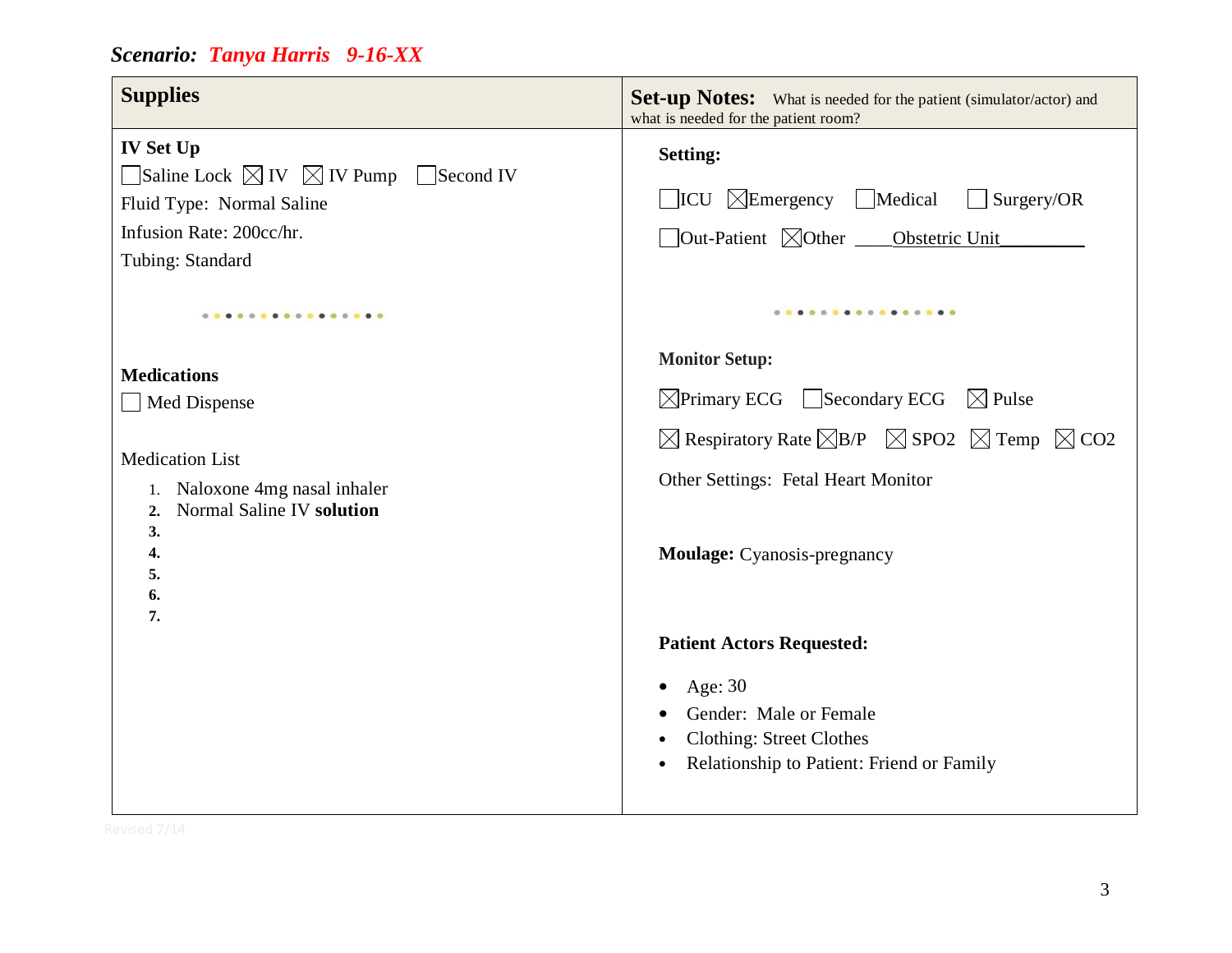| <b>Supplies</b>                                                                                                                                                         | <b>Set-up Notes:</b> What is needed for the patient (simulator/actor) and<br>what is needed for the patient room?                                                                                                             |
|-------------------------------------------------------------------------------------------------------------------------------------------------------------------------|-------------------------------------------------------------------------------------------------------------------------------------------------------------------------------------------------------------------------------|
| <b>IV Set Up</b><br>$\Box$ Saline Lock $\boxtimes$ IV $\boxtimes$ IV Pump $\Box$ Second IV<br>Fluid Type: Normal Saline<br>Infusion Rate: 200cc/hr.<br>Tubing: Standard | <b>Setting:</b><br>$\Box$ ICU $\Box$ Emergency $\Box$ Medical<br>Surgery/OR<br>$\Box$ Out-Patient $\boxtimes$ Other $\_\_\_\_$ Obstetric Unit                                                                                 |
| .<br><b>Medications</b><br>Med Dispense<br><b>Medication List</b><br>Naloxone 4mg nasal inhaler<br>1.<br>Normal Saline IV solution<br>2.<br>3.                          | <br><b>Monitor Setup:</b><br>$\boxtimes$ Primary ECG Secondary ECG $\boxtimes$ Pulse<br>$\boxtimes$ Respiratory Rate $\boxtimes$ B/P $\boxtimes$ SPO2 $\boxtimes$ Temp $\boxtimes$ CO2<br>Other Settings: Fetal Heart Monitor |
| $\overline{4}$ .<br>5.<br>6.<br>7.                                                                                                                                      | Moulage: Cyanosis-pregnancy<br><b>Patient Actors Requested:</b><br>Age: 30<br>Gender: Male or Female<br><b>Clothing: Street Clothes</b><br>Relationship to Patient: Friend or Family                                          |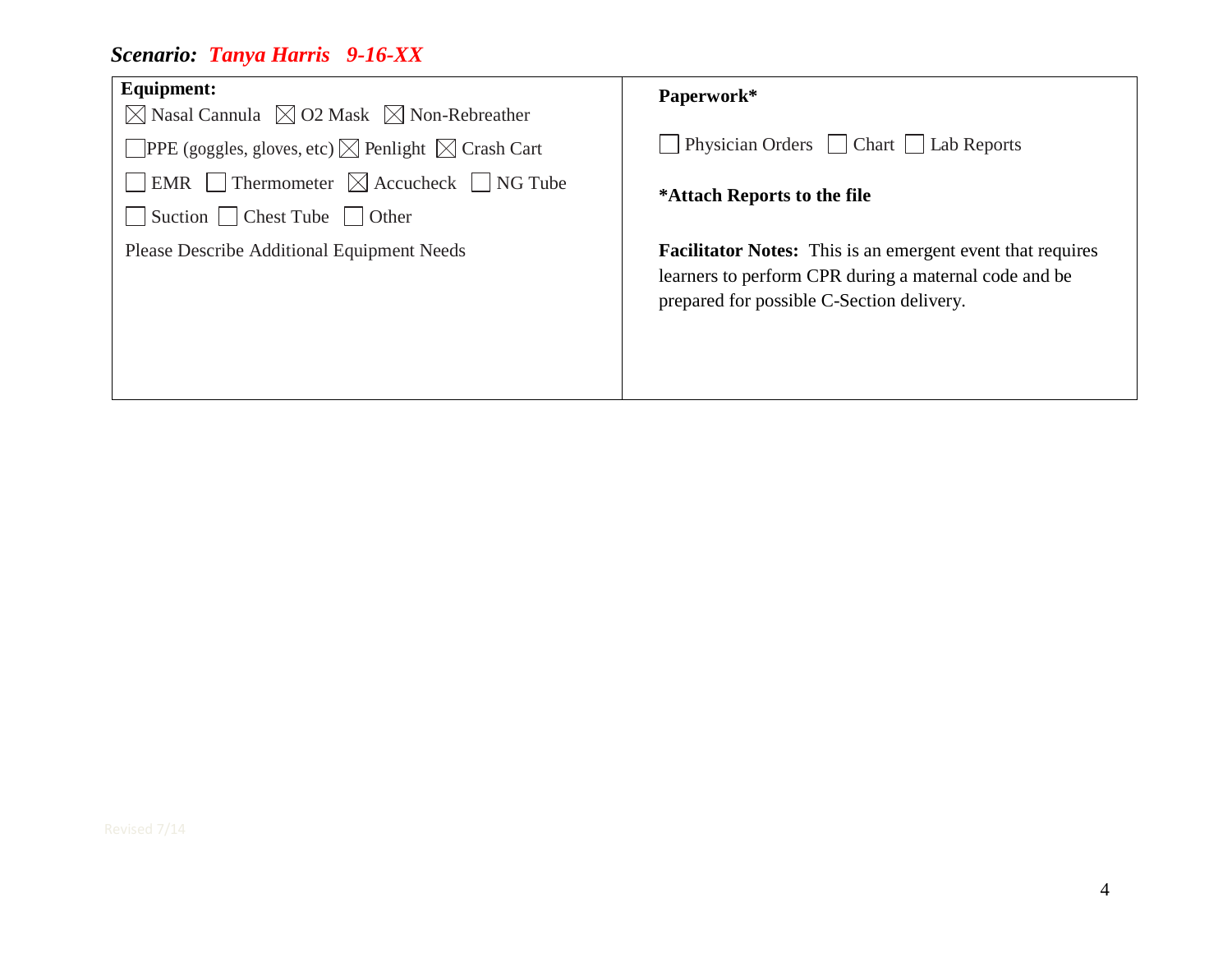| <b>Equipment:</b><br>$\boxtimes$ Nasal Cannula $\boxtimes$ O2 Mask $\boxtimes$ Non-Rebreather | Paperwork*                                                                                                                                                              |
|-----------------------------------------------------------------------------------------------|-------------------------------------------------------------------------------------------------------------------------------------------------------------------------|
| <b>OPPE</b> (goggles, gloves, etc) $\boxtimes$ Penlight $\boxtimes$ Crash Cart                | Physician Orders Chart   Lab Reports                                                                                                                                    |
| EMR Thermometer $\boxtimes$ Accucheck $\Box$ NG Tube<br>Suction Chest Tube Other              | *Attach Reports to the file                                                                                                                                             |
| <b>Please Describe Additional Equipment Needs</b>                                             | <b>Facilitator Notes:</b> This is an emergent event that requires<br>learners to perform CPR during a maternal code and be<br>prepared for possible C-Section delivery. |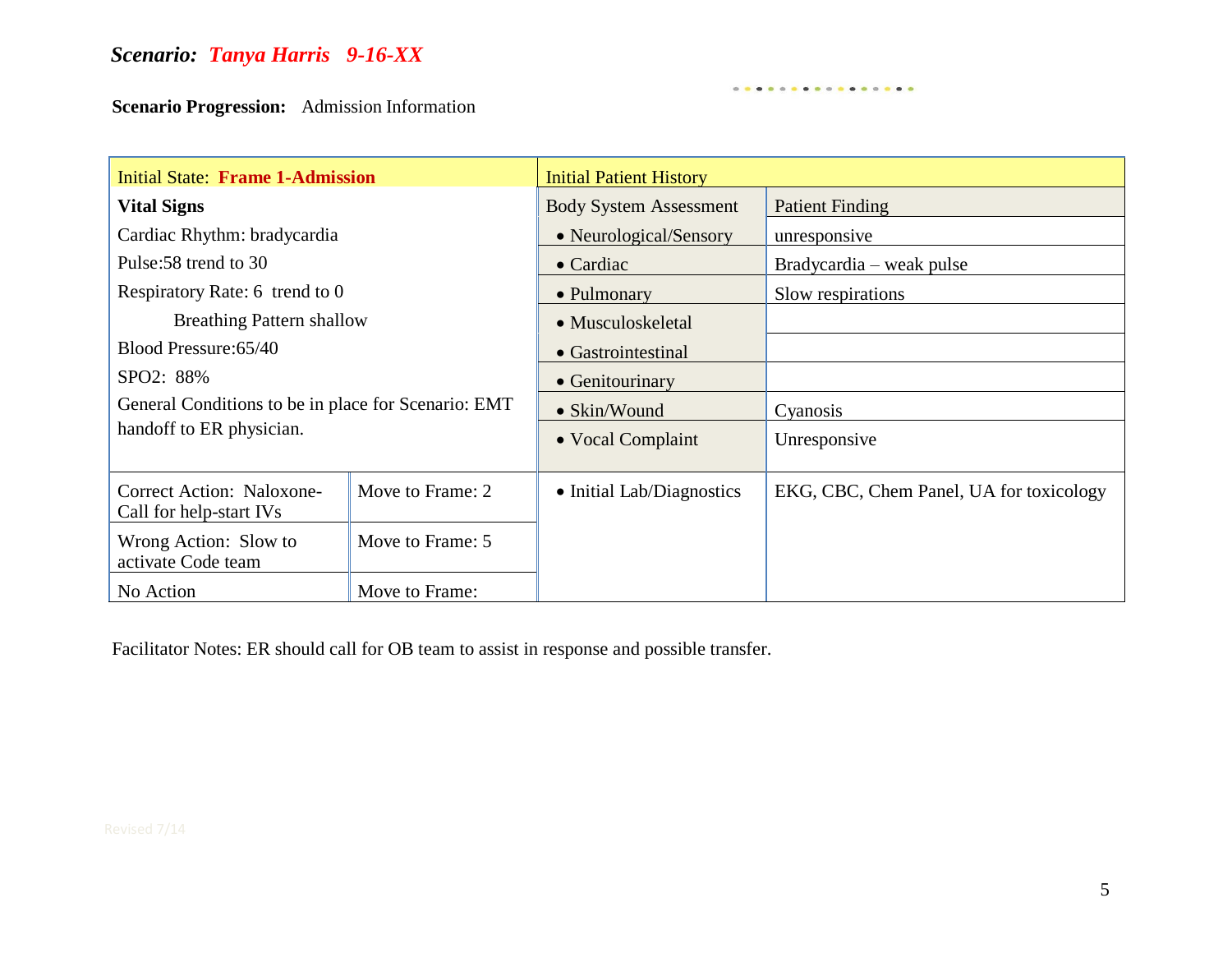**Scenario Progression:** Admission Information

| <b>Initial State: Frame 1-Admission</b>                                         |                  | <b>Initial Patient History</b> |                                         |  |
|---------------------------------------------------------------------------------|------------------|--------------------------------|-----------------------------------------|--|
| <b>Vital Signs</b>                                                              |                  | <b>Body System Assessment</b>  | <b>Patient Finding</b>                  |  |
| Cardiac Rhythm: bradycardia                                                     |                  | • Neurological/Sensory         | unresponsive                            |  |
| Pulse: 58 trend to 30                                                           |                  | $\bullet$ Cardiac              | Bradycardia – weak pulse                |  |
| Respiratory Rate: 6 trend to 0                                                  |                  | • Pulmonary                    | Slow respirations                       |  |
| <b>Breathing Pattern shallow</b>                                                |                  | • Musculoskeletal              |                                         |  |
| Blood Pressure: 65/40                                                           |                  | • Gastrointestinal             |                                         |  |
| SPO2: 88%                                                                       |                  | • Genitourinary                |                                         |  |
| General Conditions to be in place for Scenario: EMT<br>handoff to ER physician. |                  | • Skin/Wound                   | Cyanosis                                |  |
|                                                                                 |                  | • Vocal Complaint              | Unresponsive                            |  |
| Correct Action: Naloxone-<br>Call for help-start IVs                            | Move to Frame: 2 | • Initial Lab/Diagnostics      | EKG, CBC, Chem Panel, UA for toxicology |  |
| Wrong Action: Slow to<br>activate Code team                                     | Move to Frame: 5 |                                |                                         |  |
| No Action                                                                       | Move to Frame:   |                                |                                         |  |

. . . . . . . . . . . . . . . . .

Facilitator Notes: ER should call for OB team to assist in response and possible transfer.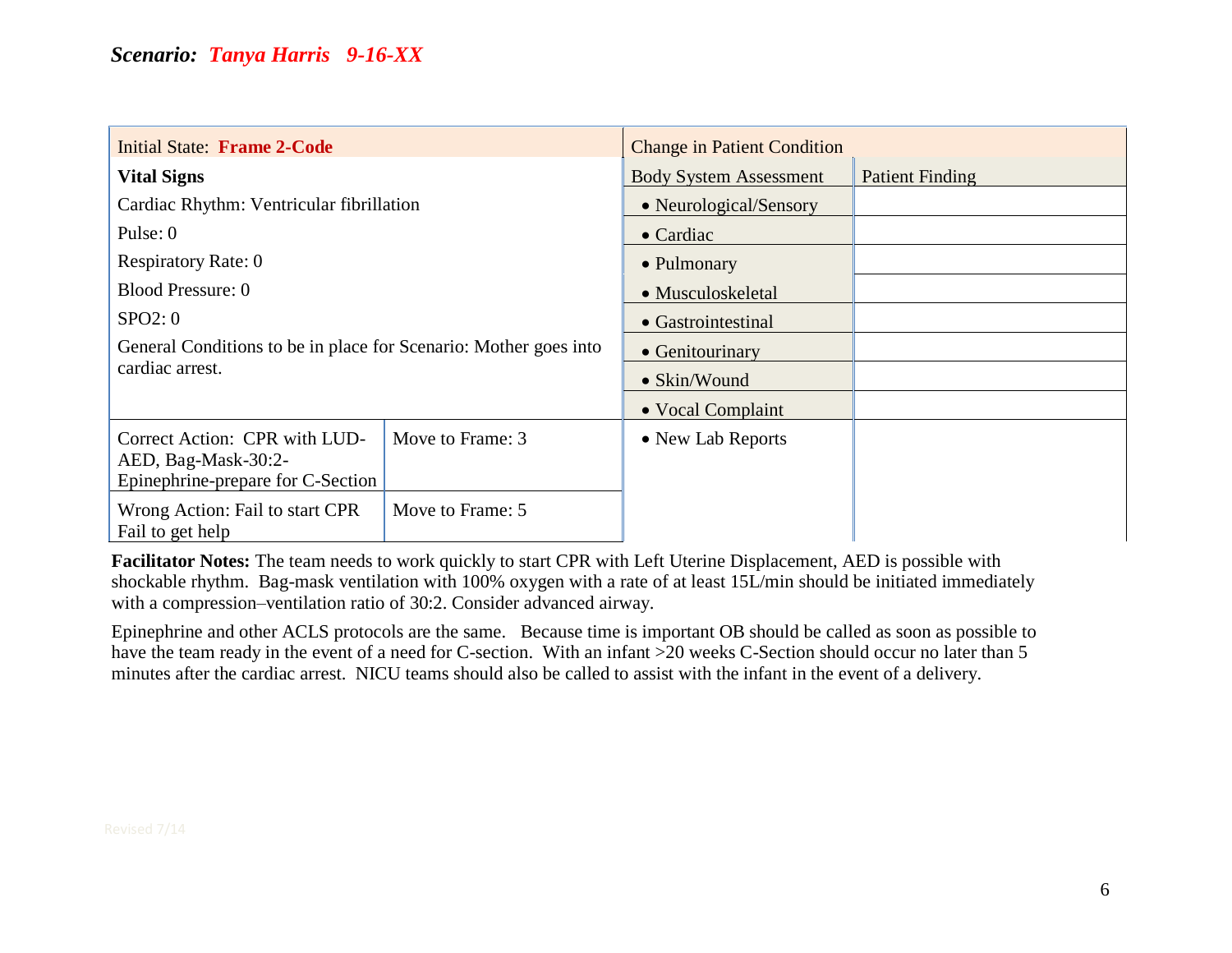| <b>Initial State: Frame 2-Code</b>                                                        |                  | <b>Change in Patient Condition</b> |                        |
|-------------------------------------------------------------------------------------------|------------------|------------------------------------|------------------------|
| <b>Vital Signs</b>                                                                        |                  | <b>Body System Assessment</b>      | <b>Patient Finding</b> |
| Cardiac Rhythm: Ventricular fibrillation                                                  |                  | • Neurological/Sensory             |                        |
| Pulse: 0                                                                                  |                  | $\bullet$ Cardiac                  |                        |
| <b>Respiratory Rate: 0</b>                                                                |                  | • Pulmonary                        |                        |
| <b>Blood Pressure: 0</b>                                                                  |                  | • Musculoskeletal                  |                        |
| SPO2:0                                                                                    |                  | • Gastrointestinal                 |                        |
| General Conditions to be in place for Scenario: Mother goes into                          |                  | • Genitourinary                    |                        |
| cardiac arrest.                                                                           | • Skin/Wound     |                                    |                        |
|                                                                                           |                  | • Vocal Complaint                  |                        |
| Correct Action: CPR with LUD-<br>AED, Bag-Mask-30:2-<br>Epinephrine-prepare for C-Section | Move to Frame: 3 | • New Lab Reports                  |                        |
| Wrong Action: Fail to start CPR<br>Fail to get help                                       | Move to Frame: 5 |                                    |                        |

**Facilitator Notes:** The team needs to work quickly to start CPR with Left Uterine Displacement, AED is possible with shockable rhythm. Bag-mask ventilation with 100% oxygen with a rate of at least 15L/min should be initiated immediately with a compression–ventilation ratio of 30:2. Consider advanced airway.

Epinephrine and other ACLS protocols are the same. Because time is important OB should be called as soon as possible to have the team ready in the event of a need for C-section. With an infant >20 weeks C-Section should occur no later than 5 minutes after the cardiac arrest. NICU teams should also be called to assist with the infant in the event of a delivery.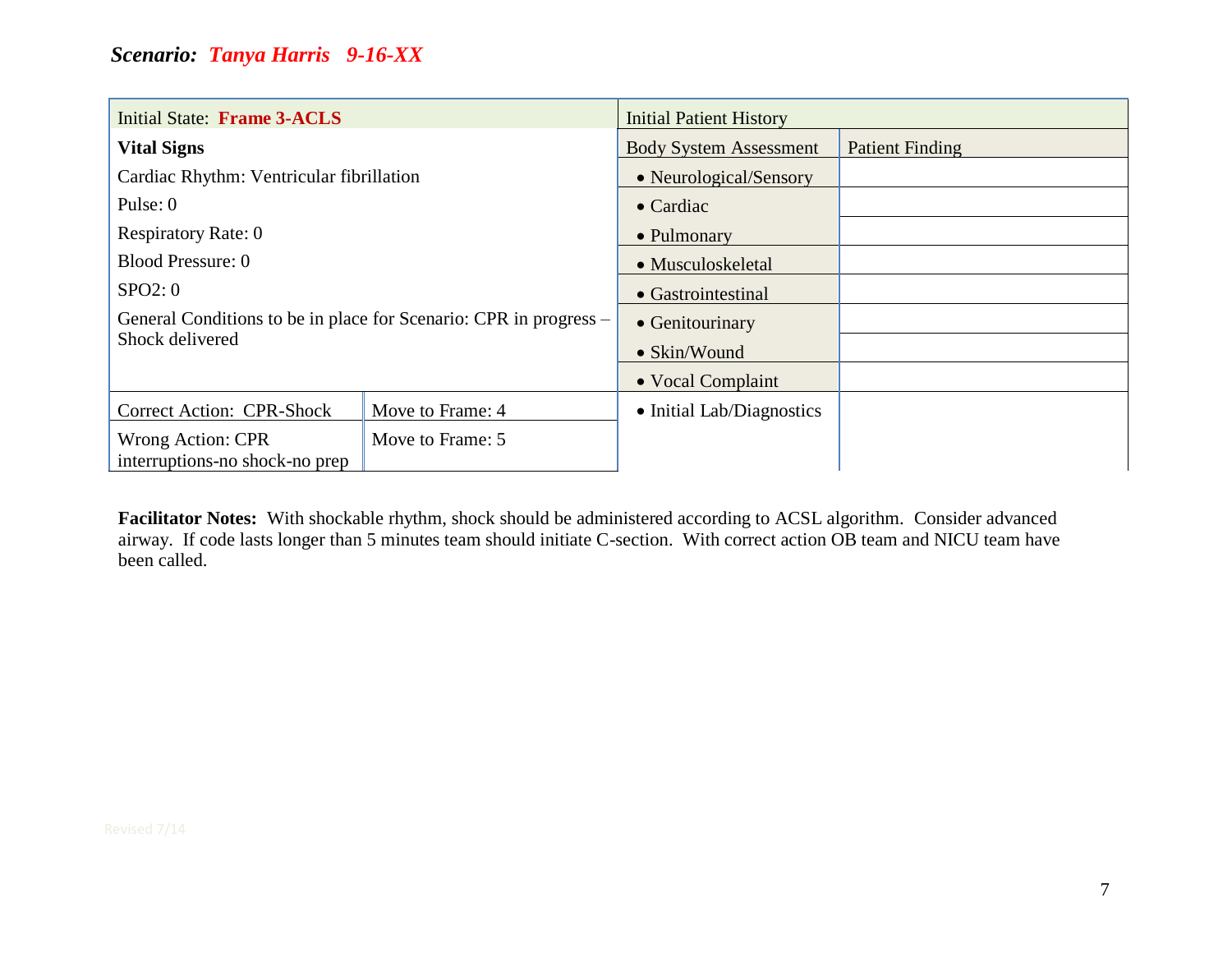| Initial State: Frame 3-ACLS                                       |                  | <b>Initial Patient History</b> |                        |
|-------------------------------------------------------------------|------------------|--------------------------------|------------------------|
| <b>Vital Signs</b>                                                |                  | <b>Body System Assessment</b>  | <b>Patient Finding</b> |
| Cardiac Rhythm: Ventricular fibrillation                          |                  | • Neurological/Sensory         |                        |
| Pulse: $0$                                                        |                  | $\bullet$ Cardiac              |                        |
| <b>Respiratory Rate: 0</b>                                        |                  | • Pulmonary                    |                        |
| <b>Blood Pressure: 0</b>                                          |                  | • Musculoskeletal              |                        |
| SPO2:0                                                            |                  | • Gastrointestinal             |                        |
| General Conditions to be in place for Scenario: CPR in progress – |                  | • Genitourinary                |                        |
| Shock delivered                                                   |                  | • Skin/Wound                   |                        |
|                                                                   |                  | • Vocal Complaint              |                        |
| <b>Correct Action: CPR-Shock</b>                                  | Move to Frame: 4 | • Initial Lab/Diagnostics      |                        |
| Wrong Action: CPR<br>interruptions-no shock-no prep               | Move to Frame: 5 |                                |                        |

**Facilitator Notes:** With shockable rhythm, shock should be administered according to ACSL algorithm. Consider advanced airway. If code lasts longer than 5 minutes team should initiate C-section. With correct action OB team and NICU team have been called.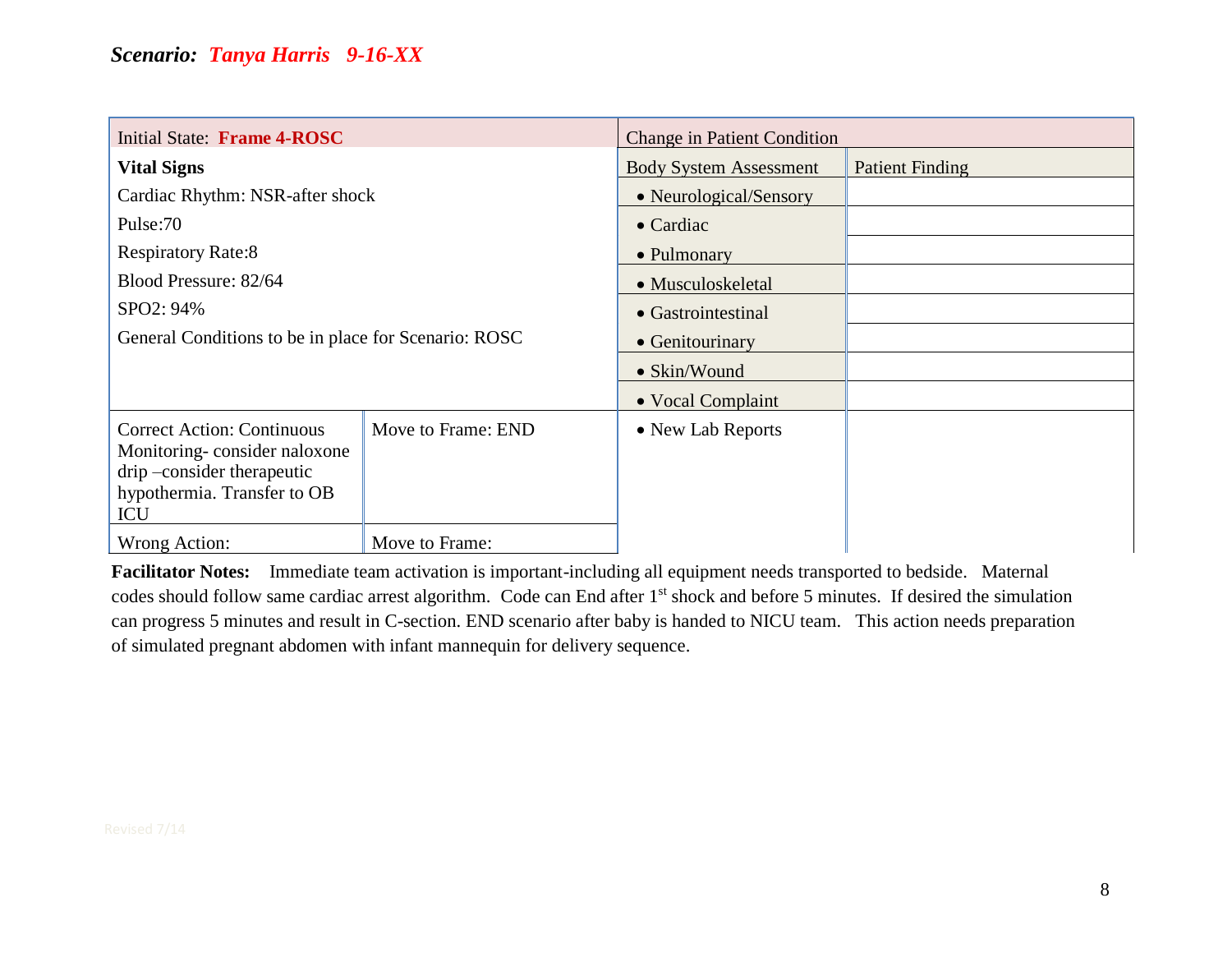| Initial State: Frame 4-ROSC                                                                                                           |                    | <b>Change in Patient Condition</b> |                        |
|---------------------------------------------------------------------------------------------------------------------------------------|--------------------|------------------------------------|------------------------|
| <b>Vital Signs</b>                                                                                                                    |                    | <b>Body System Assessment</b>      | <b>Patient Finding</b> |
| Cardiac Rhythm: NSR-after shock                                                                                                       |                    | • Neurological/Sensory             |                        |
| Pulse:70                                                                                                                              |                    | $\bullet$ Cardiac                  |                        |
| <b>Respiratory Rate:8</b>                                                                                                             |                    | • Pulmonary                        |                        |
| Blood Pressure: 82/64                                                                                                                 |                    | • Musculoskeletal                  |                        |
| SPO2: 94%                                                                                                                             |                    | • Gastrointestinal                 |                        |
| General Conditions to be in place for Scenario: ROSC                                                                                  |                    | • Genitourinary                    |                        |
|                                                                                                                                       |                    | • Skin/Wound                       |                        |
|                                                                                                                                       |                    | • Vocal Complaint                  |                        |
| <b>Correct Action: Continuous</b><br>Monitoring-consider naloxone<br>drip –consider therapeutic<br>hypothermia. Transfer to OB<br>ICU | Move to Frame: END | • New Lab Reports                  |                        |
| Wrong Action:                                                                                                                         | Move to Frame:     |                                    |                        |

**Facilitator Notes:** Immediate team activation is important-including all equipment needs transported to bedside. Maternal codes should follow same cardiac arrest algorithm. Code can End after 1<sup>st</sup> shock and before 5 minutes. If desired the simulation can progress 5 minutes and result in C-section. END scenario after baby is handed to NICU team. This action needs preparation of simulated pregnant abdomen with infant mannequin for delivery sequence.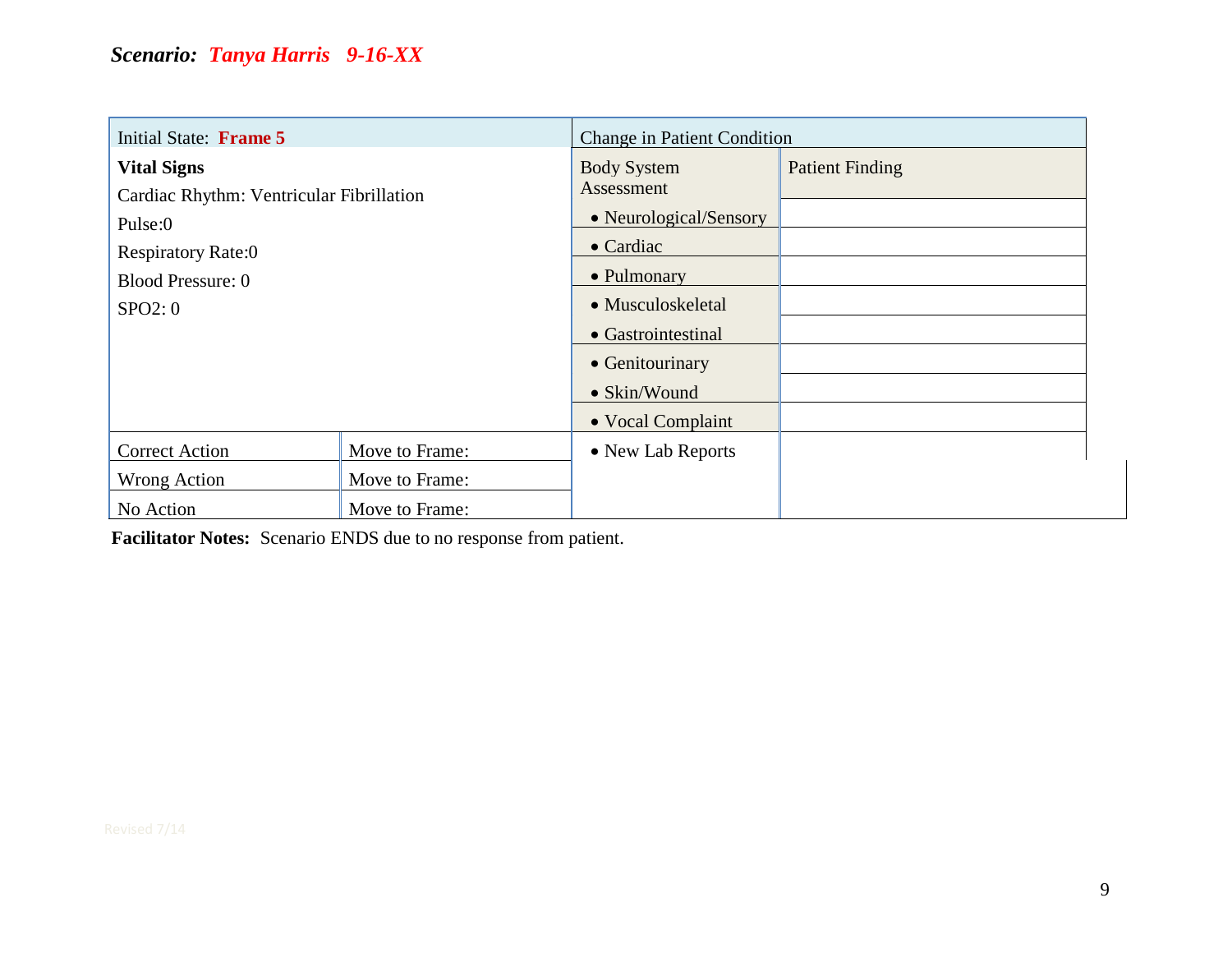| Initial State: Frame 5                   |                | <b>Change in Patient Condition</b> |                        |
|------------------------------------------|----------------|------------------------------------|------------------------|
| <b>Vital Signs</b>                       |                | <b>Body System</b>                 | <b>Patient Finding</b> |
| Cardiac Rhythm: Ventricular Fibrillation |                | Assessment                         |                        |
| Pulse:0                                  |                | • Neurological/Sensory             |                        |
| <b>Respiratory Rate:0</b>                |                | $\bullet$ Cardiac                  |                        |
| Blood Pressure: 0                        |                | • Pulmonary                        |                        |
| SPO2:0                                   |                | • Musculoskeletal                  |                        |
|                                          |                | • Gastrointestinal                 |                        |
|                                          |                | • Genitourinary                    |                        |
|                                          |                | • Skin/Wound                       |                        |
|                                          |                | • Vocal Complaint                  |                        |
| <b>Correct Action</b>                    | Move to Frame: | • New Lab Reports                  |                        |
| Wrong Action                             | Move to Frame: |                                    |                        |
| No Action                                | Move to Frame: |                                    |                        |

**Facilitator Notes:** Scenario ENDS due to no response from patient.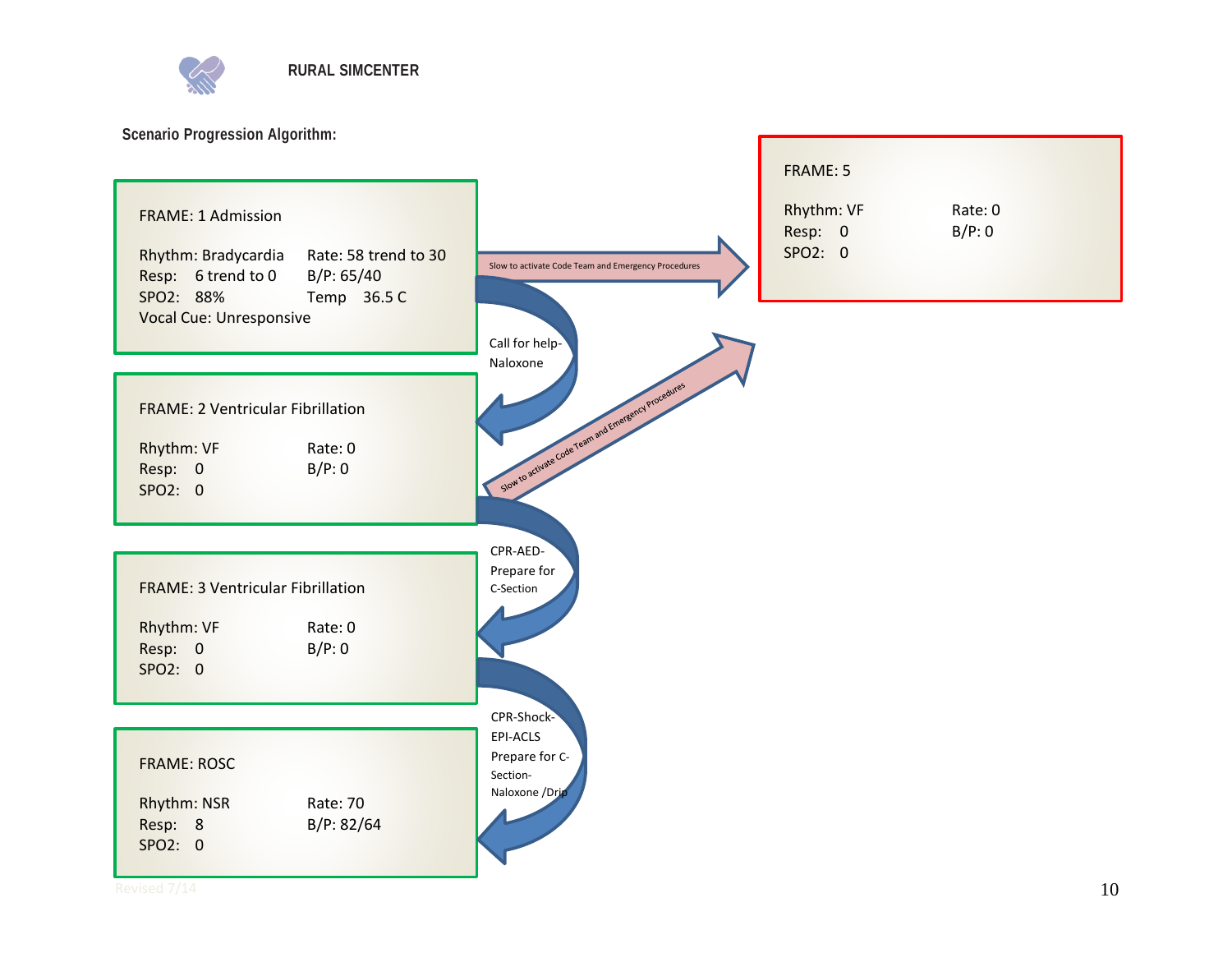

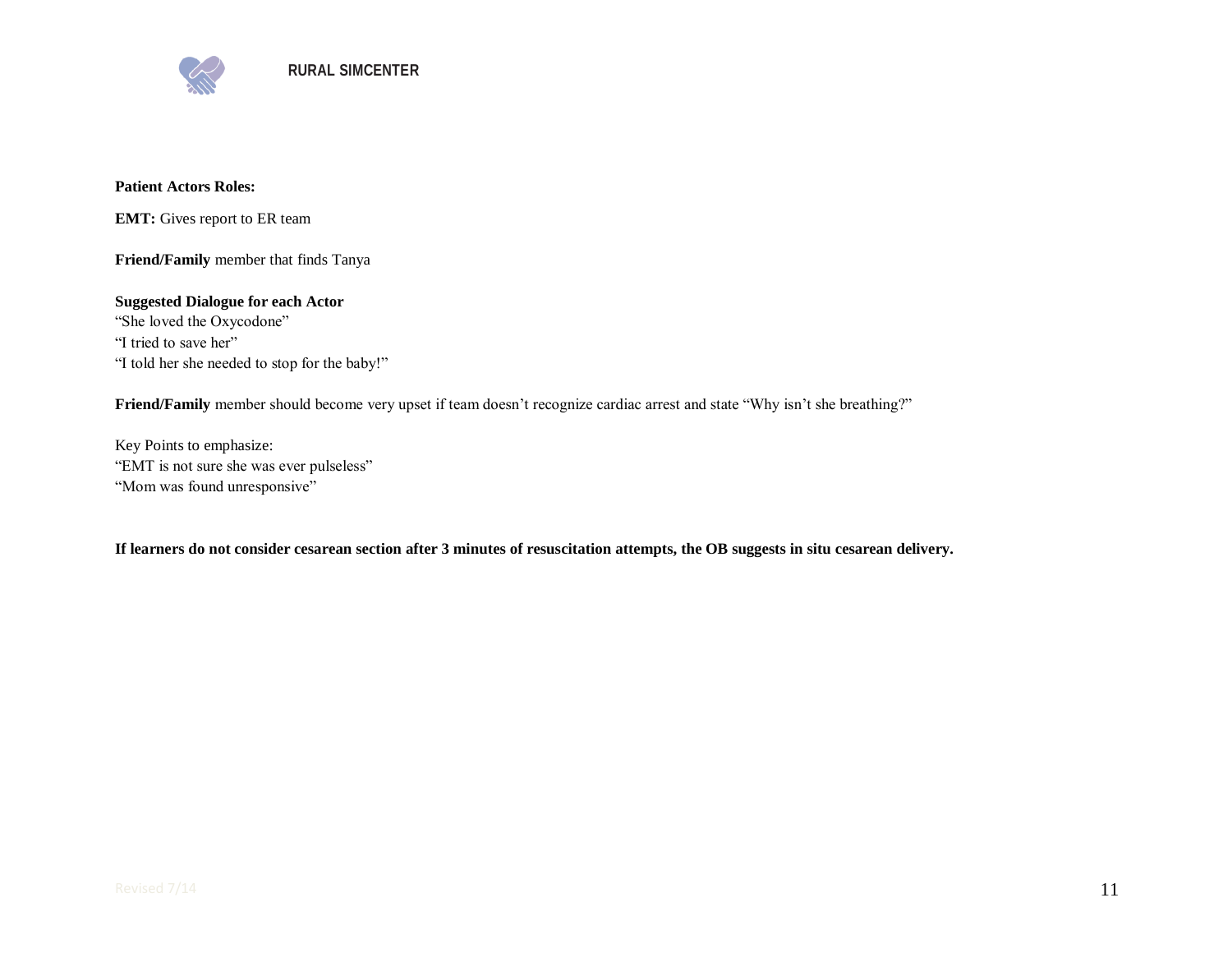

#### **Patient Actors Roles:**

**EMT:** Gives report to ER team

**Friend/Family** member that finds Tanya

**Suggested Dialogue for each Actor** "She loved the Oxycodone" "I tried to save her" "I told her she needed to stop for the baby!"

**Friend/Family** member should become very upset if team doesn't recognize cardiac arrest and state "Why isn't she breathing?"

Key Points to emphasize: "EMT is not sure she was ever pulseless" "Mom was found unresponsive"

**If learners do not consider cesarean section after 3 minutes of resuscitation attempts, the OB suggests in situ cesarean delivery.**